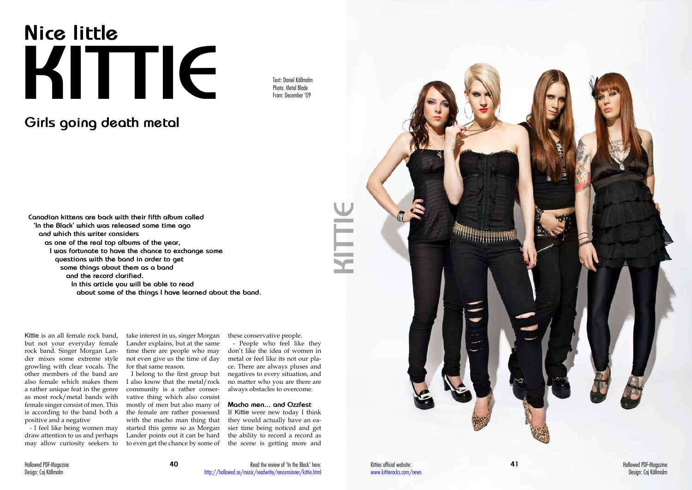**41** Hallowed PDF-Magazine Design: Caj Källmalm

# **Nice little KITTIE**

## **Girls going death metal**

Text: Daniel Källmalm Photo: Metal Blade From: December '09

Kittie is an all female rock band, but not your everyday female rock band. Singer Morgan Lander mixes some extreme style growling with clear vocals. The other members of the band are also female which makes them a rather unique feat in the genre as most rock/metal bands with female singer consist of men. This is according to the band both a positive and a negative

- I feel like being women may draw attention to us and perhaps may allow curiosity seekers to

**Canadian kittens are back with their fifth album called 'In the Black' which was released some time ago and which this writer considers as one of the real top albums of the year, I was fortunate to have the chance to exchange some questions with the band in order to get some things about them as a band and the record clarified.** 

> **In this article you will be able to read about some of the things I have learned about the band.**

take interest in us, singer Morgan Lander explains, but at the same time there are people who may not even give us the time of day for that same reason.

I belong to the first group but I also know that the metal/rock community is a rather conservative thing which also consist mostly of men but also many of the female are rather possessed with the macho man thing that started this genre so as Morgan Lander points out it can be hard to even get the chance by some of

these conservative people.

- People who feel like they don't like the idea of women in metal or feel like its not our place. There are always pluses and negatives to every situation, and no matter who you are there are always obstacles to overcome.

### **Macho men... and Ozzfest**

If Kittie were new today I think they would actually have an easier time being noticed and get the ability to record a record as the scene is getting more and

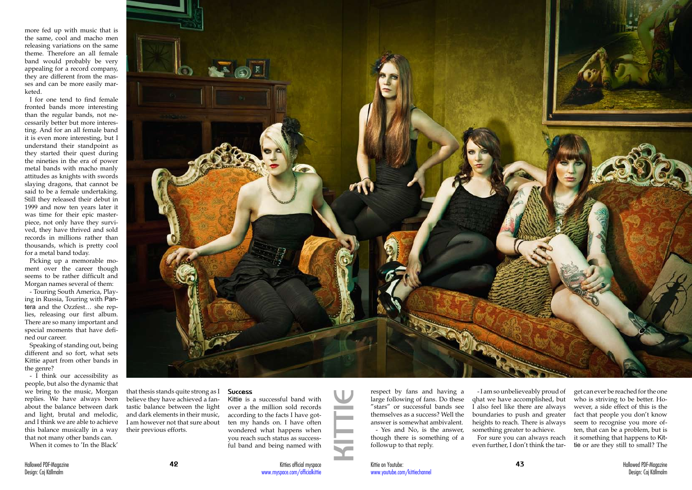Hallowed PDF-Magazine **42** Design: Caj Källmalm

more fed up with music that is the same, cool and macho men releasing variations on the same theme. Therefore an all female band would probably be very appealing for a record company, they are different from the masses and can be more easily marketed.

I for one tend to find female fronted bands more interesting than the regular bands, not necessarily better but more interesting. And for an all female band it is even more interesting, but I understand their standpoint as they started their quest during the nineties in the era of power metal bands with macho manly attitudes as knights with swords slaying dragons, that cannot be said to be a female undertaking. Still they released their debut in 1999 and now ten years later it was time for their epic masterpiece, not only have they survived, they have thrived and sold records in millions rather than thousands, which is pretty cool for a metal band today.

Picking up a memorable moment over the career though seems to be rather difficult and Morgan names several of them:

- Touring South America, Playing in Russia, Touring with Pantera and the Ozzfest… she replies, releasing our first album. There are so many important and special moments that have defined our career.

Speaking of standing out, being different and so fort, what sets Kittie apart from other bands in the genre?

- I think our accessibility as people, but also the dynamic that we bring to the music, Morgan replies. We have always been about the balance between dark and light, brutal and melodic, and I think we are able to achieve this balance musically in a way that not many other bands can.

When it comes to 'In the Black'



that thesis stands quite strong as I believe they have achieved a fantastic balance between the light and dark elements in their music, I am however not that sure about their previous efforts.

#### **Success**

Kittie is a successful band with over a the million sold records according to the facts I have gotten my hands on. I have often wondered what happens when you reach such status as successful band and being named with

respect by fans and having a large following of fans. Do these "stars" or successful bands see themselves as a success? Well the answer is somewhat ambivalent. - Yes and No, is the answer, though there is something of a followup to that reply.

- I am so unbelieveably proud of qhat we have accomplished, but I also feel like there are always boundaries to push and greater heights to reach. There is always something greater to achieve. For sure you can always reach even further, I don't think the tar-

get can ever be reached for the one who is striving to be better. However, a side effect of this is the fact that people you don't know seem to recognise you more often, that can be a problem, but is it something that happens to Kittie or are they still to small? The

Kittie on Youtube: www.youtube.com/kittiechannel

**KITTIE**